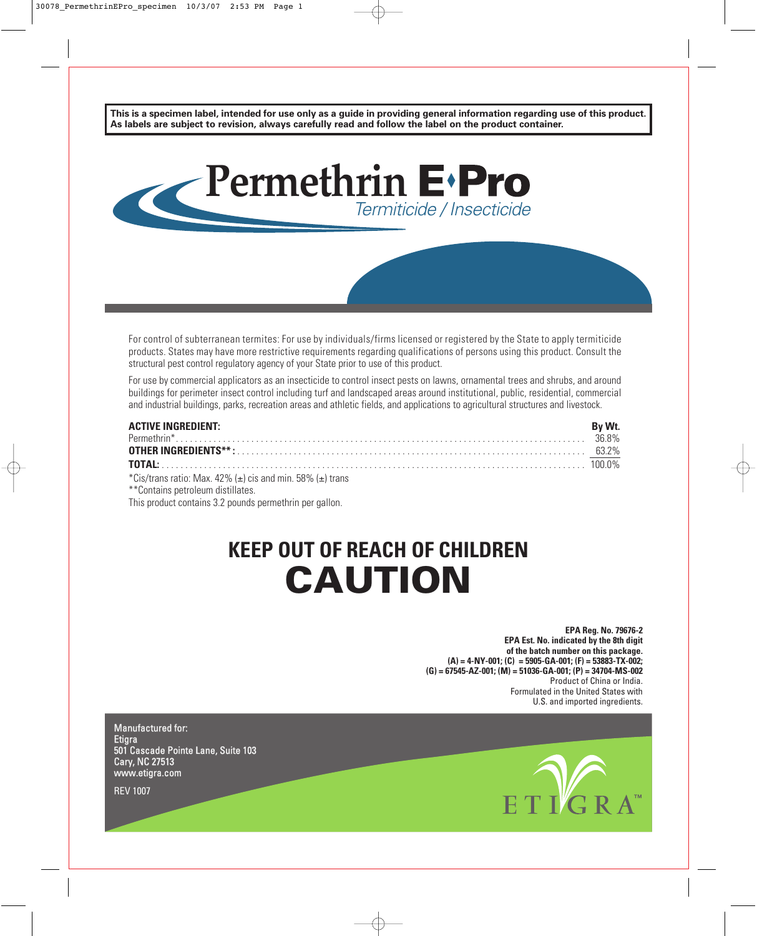**This is a specimen label, intended for use only as a guide in providing general information regarding use of this product. As labels are subject to revision, always carefully read and follow the label on the product container.**



For control of subterranean termites: For use by individuals/firms licensed or registered by the State to apply termiticide products. States may have more restrictive requirements regarding qualifications of persons using this product. Consult the structural pest control regulatory agency of your State prior to use of this product.

For use by commercial applicators as an insecticide to control insect pests on lawns, ornamental trees and shrubs, and around buildings for perimeter insect control including turf and landscaped areas around institutional, public, residential, commercial and industrial buildings, parks, recreation areas and athletic fields, and applications to agricultural structures and livestock.

| <b>ACTIVE INGREDIENT:</b>                                             | By Wt. |
|-----------------------------------------------------------------------|--------|
|                                                                       |        |
|                                                                       |        |
|                                                                       |        |
| *Cis/trans ratio: Max. 42% ( $\pm$ ) cis and min. 58% ( $\pm$ ) trans |        |
| **Contains petroleum distillates.                                     |        |

This product contains 3.2 pounds permethrin per gallon.

# **KEEP OUT OF REACH OF CHILDREN CAUTION**

**EPA Reg. No. 79676-2 EPA Est. No. indicated by the 8th digit of the batch number on this package. (A) = 4-NY-001; (C) = 5905-GA-001; (F) = 53883-TX-002; (G) = 67545-AZ-001; (M) = 51036-GA-001; (P) = 34704-MS-002** Product of China or India. Formulated in the United States with U.S. and imported ingredients.

Manufactured for: **Etigra** 501 Cascade Pointe Lane, Suite 103 Cary, NC 27513 www.etigra.com



REV 1007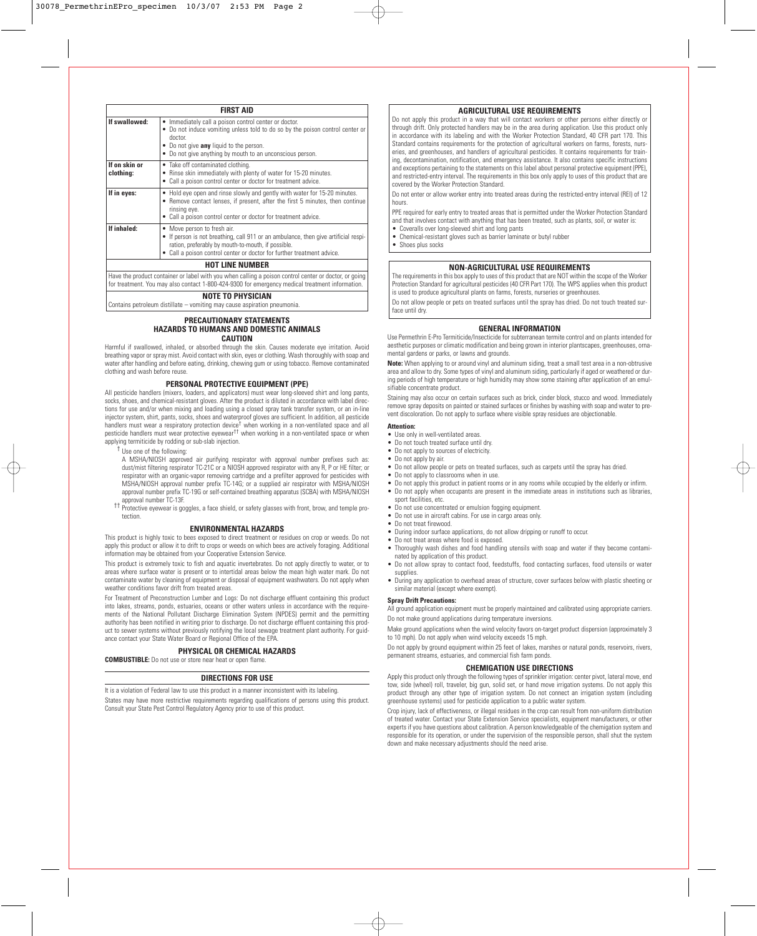|                            | <b>FIRST AID</b>                                                                                                                                                                                                                                         |  |  |  |
|----------------------------|----------------------------------------------------------------------------------------------------------------------------------------------------------------------------------------------------------------------------------------------------------|--|--|--|
| If swallowed:              | Immediately call a poison control center or doctor.<br>Do not induce vomiting unless told to do so by the poison control center or<br>doctor.<br>Do not give <b>any</b> liquid to the person.<br>Do not give anything by mouth to an unconscious person. |  |  |  |
| If on skin or<br>clothing: | • Take off contaminated clothing.<br>Rinse skin immediately with plenty of water for 15-20 minutes.<br>• Call a poison control center or doctor for treatment advice.                                                                                    |  |  |  |
| If in eyes:                | • Hold eye open and rinse slowly and gently with water for 15-20 minutes.<br>• Remove contact lenses, if present, after the first 5 minutes, then continue<br>rinsing eye.<br>• Call a poison control center or doctor for treatment advice.             |  |  |  |
| If inhaled:                | • Move person to fresh air.<br>• If person is not breathing, call 911 or an ambulance, then give artificial respi-<br>ration, preferably by mouth-to-mouth, if possible.<br>• Call a poison control center or doctor for further treatment advice.       |  |  |  |
|                            | <b>HOT LINE NUMBER</b>                                                                                                                                                                                                                                   |  |  |  |
|                            | Have the product container or label with you when calling a poison control center or doctor, or going                                                                                                                                                    |  |  |  |

Have the product container or label with you when calling a poison control center or doctor, or going for treatment. You may also contact 1-800-424-9300 for emergency medical treatment information.

## **NOTE TO PHYSICIAN**

Contains petroleum distillate – vomiting may cause aspiration pneumonia.

#### **PRECAUTIONARY STATEMENTS HAZARDS TO HUMANS AND DOMESTIC ANIMALS CAUTION**

Harmful if swallowed, inhaled, or absorbed through the skin. Causes moderate eye irritation. Avoid breathing vapor or spray mist. Avoid contact with skin, eyes or clothing. Wash thoroughly with soap and water after handling and before eating, drinking, chewing gum or using tobacco. Remove contaminated clothing and wash before reuse.

#### **PERSONAL PROTECTIVE EQUIPMENT (PPE)**

All pesticide handlers (mixers, loaders, and applicators) must wear long-sleeved shirt and long pants, socks, shoes, and chemical-resistant gloves. After the product is diluted in accordance with label directions for use and/or when mixing and loading using a closed spray tank transfer system, or an in-line injector system, shirt, pants, socks, shoes and waterproof gloves are sufficient. In addition, all pesticide handlers must wear a respiratory protection device<sup>†</sup> when working in a non-ventilated space and all<br>pesticide handlers must wear protective eyewear<sup>††</sup> when working in a non-ventilated space or when applying termiticide by rodding or sub-slab injection.

- †† Use one of the following:
- A MSHA/NIOSH approved air purifying respirator with approval number prefixes such as: dust/mist filtering respirator TC-21C or a NIOSH approved respirator with any R, P or HE filter; or respirator with an organic-vapor removing cartridge and a prefilter approved for pesticides with MSHA/NIOSH approval number prefix TC-14G; or a supplied air respirator with MSHA/NIOSH approval number prefix TC-19G or self-contained breathing apparatus (SCBA) with MSHA/NIOSH<br>approval number TC-13F
- the protective eyewear is goggles, a face shield, or safety glasses with front, brow, and temple protection.

## **ENVIRONMENTAL HAZARDS**

This product is highly toxic to bees exposed to direct treatment or residues on crop or weeds. Do not apply this product or allow it to drift to crops or weeds on which bees are actively foraging. Additional information may be obtained from your Cooperative Extension Service.

This product is extremely toxic to fish and aquatic invertebrates. Do not apply directly to water, or to areas where surface water is present or to intertidal areas below the mean high water mark. Do not contaminate water by cleaning of equipment or disposal of equipment washwaters. Do not apply when weather conditions favor drift from treated areas.

For Treatment of Preconstruction Lumber and Logs: Do not discharge effluent containing this product into lakes, streams, ponds, estuaries, oceans or other waters unless in accordance with the requirements of the National Pollutant Discharge Elimination System (NPDES) permit and the permitting authority has been notified in writing prior to discharge. Do not discharge effluent containing this product to sewer systems without previously notifying the local sewage treatment plant authority. For guidance contact your State Water Board or Regional Office of the EPA.

#### **PHYSICAL OR CHEMICAL HAZARDS**

**COMBUSTIBLE:** Do not use or store near heat or open flame.

#### **DIRECTIONS FOR USE**

It is a violation of Federal law to use this product in a manner inconsistent with its labeling.

States may have more restrictive requirements regarding qualifications of persons using this product. Consult your State Pest Control Regulatory Agency prior to use of this product.

# **AGRICULTURAL USE REQUIREMENTS**

Do not apply this product in a way that will contact workers or other persons either directly or through drift. Only protected handlers may be in the area during application. Use this product only in accordance with its labeling and with the Worker Protection Standard, 40 CFR part 170. This Standard contains requirements for the protection of agricultural workers on farms, forests, nurseries, and greenhouses, and handlers of agricultural pesticides. It contains requirements for training, decontamination, notification, and emergency assistance. It also contains specific instructions and exceptions pertaining to the statements on this label about personal protective equipment (PPE), and restricted-entry interval. The requirements in this box only apply to uses of this product that are covered by the Worker Protection Standard.

Do not enter or allow worker entry into treated areas during the restricted-entry interval (REI) of 12 hours.

PPE required for early entry to treated areas that is permitted under the Worker Protection Standard and that involves contact with anything that has been treated, such as plants, soil, or water is:

- Coveralls over long-sleeved shirt and long pants
- Chemical-resistant gloves such as barrier laminate or butyl rubber
- Shoes plus socks

# **NON-AGRICULTURAL USE REQUIREMENTS**

The requirements in this box apply to uses of this product that are NOT within the scope of the Worker Protection Standard for agricultural pesticides (40 CFR Part 170). The WPS applies when this product is used to produce agricultural plants on farms, forests, nurseries or greenhouses.

Do not allow people or pets on treated surfaces until the spray has dried. Do not touch treated surface until dry.

#### **GENERAL INFORMATION**

Use Permethrin E-Pro Termiticide/Insecticide for subterranean termite control and on plants intended for aesthetic purposes or climatic modification and being grown in interior plantscapes, greenhouses, ornamental gardens or parks, or lawns and grounds.

**Note:** When applying to or around vinyl and aluminum siding, treat a small test area in a non-obtrusive area and allow to dry. Some types of vinyl and aluminum siding, particularly if aged or weathered or during periods of high temperature or high humidity may show some staining after application of an emulsifiable concentrate product.

Staining may also occur on certain surfaces such as brick, cinder block, stucco and wood. Immediately remove spray deposits on painted or stained surfaces or finishes by washing with soap and water to prevent discoloration. Do not apply to surface where visible spray residues are objectionable.

# **Attention:**

- Use only in well-ventilated areas. • Do not touch treated surface until dry.
- Do not apply to sources of electricity.
- 
- Do not apply by air.
- Do not allow people or pets on treated surfaces, such as carpets until the spray has dried.
- Do not apply to classrooms when in use.
- Do not apply this product in patient rooms or in any rooms while occupied by the elderly or infirm. • Do not apply when occupants are present in the immediate areas in institutions such as libraries, sport facilities, etc.
- Do not use concentrated or emulsion fogging equipment.
- Do not use in aircraft cabins. For use in cargo areas only.
- Do not treat firewood.
- During indoor surface applications, do not allow dripping or runoff to occur.
- Do not treat areas where food is exposed.
- Thoroughly wash dishes and food handling utensils with soap and water if they become contaminated by application of this product.
- Do not allow spray to contact food, feedstuffs, food contacting surfaces, food utensils or water supplies.
- During any application to overhead areas of structure, cover surfaces below with plastic sheeting or similar material (except where exempt).

#### **Spray Drift Precautions:**

All ground application equipment must be properly maintained and calibrated using appropriate carriers. Do not make ground applications during temperature inversions.

Make ground applications when the wind velocity favors on-target product dispersion (approximately 3 to 10 mph). Do not apply when wind velocity exceeds 15 mph.

Do not apply by ground equipment within 25 feet of lakes, marshes or natural ponds, reservoirs, rivers, permanent streams, estuaries, and commercial fish farm ponds.

#### **CHEMIGATION USE DIRECTIONS**

Apply this product only through the following types of sprinkler irrigation: center pivot, lateral move, end tow, side (wheel) roll, traveler, big gun, solid set, or hand move irrigation systems. Do not apply this product through any other type of irrigation system. Do not connect an irrigation system (including greenhouse systems) used for pesticide application to a public water system.

Crop injury, lack of effectiveness, or illegal residues in the crop can result from non-uniform distribution of treated water. Contact your State Extension Service specialists, equipment manufacturers, or other experts if you have questions about calibration. A person knowledgeable of the chemigation system and responsible for its operation, or under the supervision of the responsible person, shall shut the system down and make necessary adjustments should the need arise.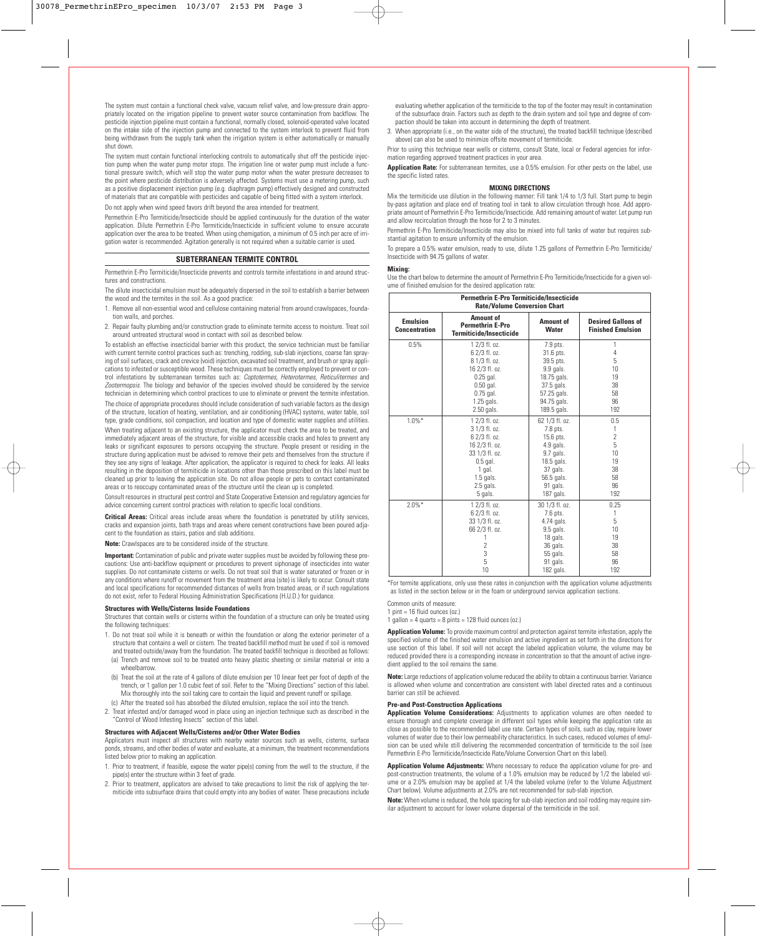The system must contain a functional check valve, vacuum relief valve, and low-pressure drain appropriately located on the irrigation pipeline to prevent water source contamination from backflow. The pesticide injection pipeline must contain a functional, normally closed, solenoid-operated valve located on the intake side of the injection pump and connected to the system interlock to prevent fluid from being withdrawn from the supply tank when the irrigation system is either automatically or manually shut down.

The system must contain functional interlocking controls to automatically shut off the pesticide injection pump when the water pump motor stops. The irrigation line or water pump must include a functional pressure switch, which will stop the water pump motor when the water pressure decreases to the point where pesticide distribution is adversely affected. Systems must use a metering pump, such as a positive displacement injection pump (e.g. diaphragm pump) effectively designed and constructed of materials that are compatible with pesticides and capable of being fitted with a system interlock.

Do not apply when wind speed favors drift beyond the area intended for treatment.

Permethrin E-Pro Termiticide/Insecticide should be applied continuously for the duration of the water application. Dilute Permethrin E-Pro Termiticide/Insecticide in sufficient volume to ensure accurate application over the area to be treated. When using chemigation, a minimum of 0.5 inch per acre of irrigation water is recommended. Agitation generally is not required when a suitable carrier is used.

# **SUBTERRANEAN TERMITE CONTROL**

Permethrin E-Pro Termiticide/Insecticide prevents and controls termite infestations in and around structures and constructions.

The dilute insecticidal emulsion must be adequately dispersed in the soil to establish a barrier between the wood and the termites in the soil. As a good practice:

- 1. Remove all non-essential wood and cellulose containing material from around crawlspaces, foundation walls, and porches.
- 2. Repair faulty plumbing and/or construction grade to eliminate termite access to moisture. Treat soil around untreated structural wood in contact with soil as described below.

To establish an effective insecticidal barrier with this product, the service technician must be familiar with current termite control practices such as: trenching, rodding, sub-slab injections, coarse fan spraying of soil surfaces, crack and crevice (void) injection, excavated soil treatment, and brush or spray applications to infested or susceptible wood. These techniques must be correctly employed to prevent or control infestations by subterranean termites such as: Coptotermes, Heterotermes, Reticulitermes and Zootermopsis. The biology and behavior of the species involved should be considered by the service technician in determining which control practices to use to eliminate or prevent the termite infestation. The choice of appropriate procedures should include consideration of such variable factors as the design of the structure, location of heating, ventilation, and air conditioning (HVAC) systems, water table, soil type, grade conditions, soil compaction, and location and type of domestic water supplies and utilities. When treating adjacent to an existing structure, the applicator must check the area to be treated, and immediately adjacent areas of the structure, for visible and accessible cracks and holes to prevent any leaks or significant exposures to persons occupying the structure. People present or residing in the structure during application must be advised to remove their pets and themselves from the structure if they see any signs of leakage. After application, the applicator is required to check for leaks. All leaks resulting in the deposition of termiticide in locations other than those prescribed on this label must be cleaned up prior to leaving the application site. Do not allow people or pets to contact contaminated areas or to reoccupy contaminated areas of the structure until the clean up is completed.

Consult resources in structural pest control and State Cooperative Extension and regulatory agencies for advice concerning current control practices with relation to specific local conditions.

**Critical Areas:** Critical areas include areas where the foundation is penetrated by utility services, cracks and expansion joints, bath traps and areas where cement constructions have been poured adjacent to the foundation as stairs, patios and slab additions.

**Note:** Crawlspaces are to be considered inside of the structure.

**Important:** Contamination of public and private water supplies must be avoided by following these precautions: Use anti-backflow equipment or procedures to prevent siphonage of insecticides into water supplies. Do not contaminate cisterns or wells. Do not treat soil that is water saturated or frozen or in any conditions where runoff or movement from the treatment area (site) is likely to occur. Consult state and local specifications for recommended distances of wells from treated areas, or if such regulations do not exist, refer to Federal Housing Administration Specifications (H.U.D.) for guidance.

#### **Structures with Wells/Cisterns Inside Foundations**

Structures that contain wells or cisterns within the foundation of a structure can only be treated using the following techniques:

- 1. Do not treat soil while it is beneath or within the foundation or along the exterior perimeter of a structure that contains a well or cistern. The treated backfill method must be used if soil is removed and treated outside/away from the foundation. The treated backfill technique is described as follows:
- (a) Trench and remove soil to be treated onto heavy plastic sheeting or similar material or into a wheelbarrow.
- (b) Treat the soil at the rate of 4 gallons of dilute emulsion per 10 linear feet per foot of depth of the trench, or 1 gallon per 1.0 cubic feet of soil. Refer to the "Mixing Directions" section of this label. Mix thoroughly into the soil taking care to contain the liquid and prevent runoff or spillage. (c) After the treated soil has absorbed the diluted emulsion, replace the soil into the trench.
- 2. Treat infested and/or damaged wood in place using an injection technique such as described in the "Control of Wood Infesting Insects" section of this label.

#### **Structures with Adjacent Wells/Cisterns and/or Other Water Bodies**

Applicators must inspect all structures with nearby water sources such as wells, cisterns, surface ponds, streams, and other bodies of water and evaluate, at a minimum, the treatment recommendations listed below prior to making an application.

- 1. Prior to treatment, if feasible, expose the water pipe(s) coming from the well to the structure, if the pipe(s) enter the structure within 3 feet of grade.
- 2. Prior to treatment, applicators are advised to take precautions to limit the risk of applying the termiticide into subsurface drains that could empty into any bodies of water. These precautions include

evaluating whether application of the termiticide to the top of the footer may result in contamination of the subsurface drain. Factors such as depth to the drain system and soil type and degree of compaction should be taken into account in determining the depth of treatment.

3. When appropriate (i.e., on the water side of the structure), the treated backfill technique (described above) can also be used to minimize offsite movement of termiticide.

Prior to using this technique near wells or cisterns, consult State, local or Federal agencies for information regarding approved treatment practices in your area.

**Application Rate:** For subterranean termites, use a 0.5% emulsion. For other pests on the label, use the specific listed rates.

#### **MIXING DIRECTIONS**

Mix the termiticide use dilution in the following manner: Fill tank 1/4 to 1/3 full. Start pump to begin by-pass agitation and place end of treating tool in tank to allow circulation through hose. Add appropriate amount of Permethrin E-Pro Termiticide/Insecticide. Add remaining amount of water. Let pump run and allow recirculation through the hose for 2 to 3 minutes.

Permethrin E-Pro Termiticide/Insecticide may also be mixed into full tanks of water but requires substantial agitation to ensure uniformity of the emulsion.

To prepare a 0.5% water emulsion, ready to use, dilute 1.25 gallons of Permethrin E-Pro Termiticide/ Insecticide with 94.75 gallons of water.

#### **Mixing:**

Use the chart below to determine the amount of Permethrin E-Pro Termiticide/Insecticide for a given volume of finished emulsion for the desired application rate:

| Permethrin E-Pro Termiticide/Insecticide<br><b>Rate/Volume Conversion Chart</b> |                                                                 |                |                                                       |
|---------------------------------------------------------------------------------|-----------------------------------------------------------------|----------------|-------------------------------------------------------|
| <b>Emulsion</b><br><b>Concentration</b>                                         | Amount of<br><b>Permethrin E-Pro</b><br>Termiticide/Insecticide |                | <b>Desired Gallons of</b><br><b>Finished Emulsion</b> |
| 0.5%                                                                            | 1 2/3 fl. oz.                                                   | 7.9 pts.       | 1                                                     |
|                                                                                 | 6 2/3 fl. oz.                                                   | 31.6 pts.      | 4                                                     |
|                                                                                 | 8 1/3 fl. oz.                                                   | 39.5 pts.      | 5                                                     |
|                                                                                 | 16 2/3 fl. oz.                                                  | 9.9 gals.      | 10                                                    |
|                                                                                 | $0.25$ gal.                                                     | 18.75 gals.    | 19                                                    |
|                                                                                 | $0.50$ gal.                                                     | 37.5 gals.     | 38                                                    |
|                                                                                 | $0.75$ gal.                                                     | 57.25 gals.    | 58                                                    |
|                                                                                 | 1.25 gals.                                                      | 94.75 gals.    | 96                                                    |
|                                                                                 | 2.50 gals.                                                      | 189.5 gals.    | 192                                                   |
| $1.0\%$ *                                                                       | 1 2/3 fl. oz.                                                   | 62 1/3 fl. oz. | 0.5                                                   |
|                                                                                 | 3 1/3 fl. oz.                                                   | 7.8 pts.       | 1                                                     |
|                                                                                 | 6 2/3 fl. oz.                                                   | 15.6 pts.      | $\overline{2}$                                        |
|                                                                                 | 16 2/3 fl. oz.                                                  | $4.9$ gals.    | 5                                                     |
|                                                                                 | 33 1/3 fl. oz.                                                  | 9.7 gals.      | 10                                                    |
|                                                                                 | $0.5$ gal.                                                      |                | 19                                                    |
|                                                                                 | 1 gal.                                                          | 37 gals.       | 38                                                    |
|                                                                                 | $1.5$ gals.                                                     | 56.5 gals.     | 58                                                    |
|                                                                                 | $2.5$ gals.                                                     | 91 gals.       | 96                                                    |
|                                                                                 | 5 gals.                                                         | 187 gals.      | 192                                                   |
| $2.0\%$ *                                                                       | 1 2/3 fl. oz.                                                   | 30 1/3 fl. oz. | 0.25                                                  |
|                                                                                 | 6 2/3 fl. oz.                                                   | 7.6 pts.       | 1                                                     |
|                                                                                 | 33 1/3 fl. oz.                                                  | 4.74 gals.     | 5                                                     |
|                                                                                 | 66 2/3 fl. oz.                                                  | 9.5 gals.      | 10                                                    |
|                                                                                 | 1                                                               | 18 gals.       | 19                                                    |
|                                                                                 | $\overline{2}$                                                  | 36 gals.       | 38                                                    |
|                                                                                 | 3                                                               | 55 gals.       | 58                                                    |
|                                                                                 | 5                                                               | 91 gals.       | 96                                                    |
|                                                                                 | 10                                                              | 182 gals.      | 192                                                   |

\*For termite applications, only use these rates in conjunction with the application volume adjustments as listed in the section below or in the foam or underground service application sections.

Common units of measure:

1 pint =  $16$  fluid ounces (oz.)

1 gallon = 4 quarts =  $8$  pints = 128 fluid ounces (oz.)

**Application Volume:** To provide maximum control and protection against termite infestation, apply the specified volume of the finished water emulsion and active ingredient as set forth in the directions for use section of this label. If soil will not accept the labeled application volume, the volume may be reduced provided there is a corresponding increase in concentration so that the amount of active ingredient applied to the soil remains the same.

**Note:**Large reductions of application volume reduced the ability to obtain a continuous barrier. Variance is allowed when volume and concentration are consistent with label directed rates and a continuous barrier can still be achieved.

## **Pre-and Post-Construction Applications**

**Application Volume Considerations:** Adjustments to application volumes are often needed to ensure thorough and complete coverage in different soil types while keeping the application rate as close as possible to the recommended label use rate. Certain types of soils, such as clay, require lower volumes of water due to their low permeability characteristics. In such cases, reduced volumes of emulsion can be used while still delivering the recommended concentration of termiticide to the soil (see Permethrin E-Pro Termiticide/Insecticide Rate/Volume Conversion Chart on this label).

**Application Volume Adjustments:** Where necessary to reduce the application volume for pre- and post-construction treatments, the volume of a 1.0% emulsion may be reduced by 1/2 the labeled volume or a 2.0% emulsion may be applied at 1/4 the labeled volume (refer to the Volume Adjustment Chart below). Volume adjustments at 2.0% are not recommended for sub-slab injection.

**Note:** When volume is reduced, the hole spacing for sub-slab injection and soil rodding may require similar adjustment to account for lower volume dispersal of the termiticide in the soil.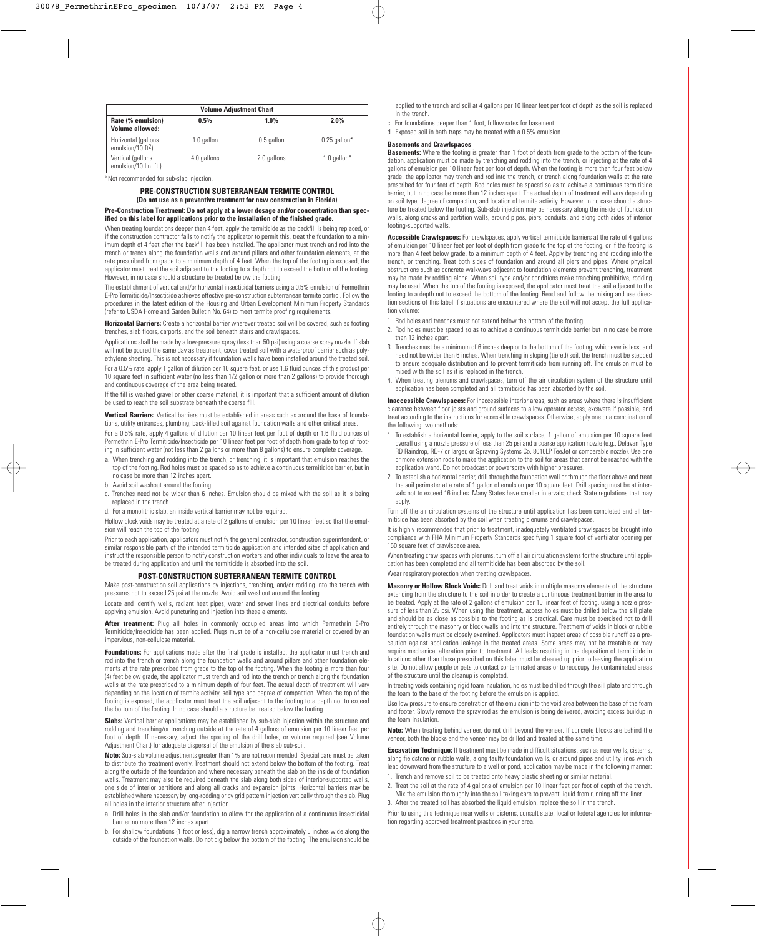| <b>Volume Adjustment Chart</b>                                     |             |             |                   |  |
|--------------------------------------------------------------------|-------------|-------------|-------------------|--|
| Rate (% emulsion)<br>$1.0\%$<br>0.5%<br>$2.0\%$<br>Volume allowed: |             |             |                   |  |
| Horizontal (gallons<br>emulsion/10 $ft2$ )                         | 1.0 gallon  | 0.5 gallon  | $0.25$ gallon*    |  |
| Vertical (gallons<br>emulsion/10 lin. ft.)                         | 4.0 gallons | 2.0 gallons | 1.0 $q$ allon $*$ |  |

\*Not recommended for sub-slab injection.

## **PRE-CONSTRUCTION SUBTERRANEAN TERMITE CONTROL (Do not use as a preventive treatment for new construction in Florida)**

**Pre-Construction Treatment: Do not apply at a lower dosage and/or concentration than specified on this label for applications prior to the installation of the finished grade.**

When treating foundations deeper than 4 feet, apply the termiticide as the backfill is being replaced, or if the construction contractor fails to notify the applicator to permit this, treat the foundation to a minimum depth of 4 feet after the backfill has been installed. The applicator must trench and rod into the trench or trench along the foundation walls and around pillars and other foundation elements, at the rate prescribed from grade to a minimum depth of 4 feet. When the top of the footing is exposed, the applicator must treat the soil adjacent to the footing to a depth not to exceed the bottom of the footing. However, in no case should a structure be treated below the footing.

The establishment of vertical and/or horizontal insecticidal barriers using a 0.5% emulsion of Permethrin E-Pro Termiticide/Insecticide achieves effective pre-construction subterranean termite control. Follow the procedures in the latest edition of the Housing and Urban Development Minimum Property Standards (refer to USDA Home and Garden Bulletin No. 64) to meet termite proofing requirements.

**Horizontal Barriers:** Create a horizontal barrier wherever treated soil will be covered, such as footing trenches, slab floors, carports, and the soil beneath stairs and crawlspaces.

Applications shall be made by a low-pressure spray (less than 50 psi) using a coarse spray nozzle. If slab will not be poured the same day as treatment, cover treated soil with a waterproof barrier such as polyethylene sheeting. This is not necessary if foundation walls have been installed around the treated soil.

For a 0.5% rate, apply 1 gallon of dilution per 10 square feet, or use 1.6 fluid ounces of this product per 10 square feet in sufficient water (no less than 1/2 gallon or more than 2 gallons) to provide thorough and continuous coverage of the area being treated.

If the fill is washed gravel or other coarse material, it is important that a sufficient amount of dilution be used to reach the soil substrate beneath the coarse fill.

**Vertical Barriers:** Vertical barriers must be established in areas such as around the base of foundations, utility entrances, plumbing, back-filled soil against foundation walls and other critical areas.

For a 0.5% rate, apply 4 gallons of dilution per 10 linear feet per foot of depth or 1.6 fluid ounces of Permethrin E-Pro Termiticide/Insecticide per 10 linear feet per foot of depth from grade to top of footing in sufficient water (not less than 2 gallons or more than 8 gallons) to ensure complete coverage.

a. When trenching and rodding into the trench, or trenching, it is important that emulsion reaches the top of the footing. Rod holes must be spaced so as to achieve a continuous termiticide barrier, but in no case be more than 12 inches apart.

- b. Avoid soil washout around the footing.
- c. Trenches need not be wider than 6 inches. Emulsion should be mixed with the soil as it is being replaced in the trench.
- d. For a monolithic slab, an inside vertical barrier may not be required.

Hollow block voids may be treated at a rate of 2 gallons of emulsion per 10 linear feet so that the emulsion will reach the top of the footing.

Prior to each application, applicators must notify the general contractor, construction superintendent, or similar responsible party of the intended termiticide application and intended sites of application and instruct the responsible person to notify construction workers and other individuals to leave the area to be treated during application and until the termiticide is absorbed into the soil.

#### **POST-CONSTRUCTION SUBTERRANEAN TERMITE CONTROL**

Make post-construction soil applications by injections, trenching, and/or rodding into the trench with pressures not to exceed 25 psi at the nozzle. Avoid soil washout around the footing.

Locate and identify wells, radiant heat pipes, water and sewer lines and electrical conduits before applying emulsion. Avoid puncturing and injection into these elements.

**After treatment:** Plug all holes in commonly occupied areas into which Permethrin E-Pro Termiticide/Insecticide has been applied. Plugs must be of a non-cellulose material or covered by an impervious, non-cellulose material.

**Foundations:** For applications made after the final grade is installed, the applicator must trench and rod into the trench or trench along the foundation walls and around pillars and other foundation elements at the rate prescribed from grade to the top of the footing. When the footing is more than four (4) feet below grade, the applicator must trench and rod into the trench or trench along the foundation walls at the rate prescribed to a minimum depth of four feet. The actual depth of treatment will vary depending on the location of termite activity, soil type and degree of compaction. When the top of the footing is exposed, the applicator must treat the soil adjacent to the footing to a depth not to exceed the bottom of the footing. In no case should a structure be treated below the footing.

**Slabs:** Vertical barrier applications may be established by sub-slab injection within the structure and rodding and trenching/or trenching outside at the rate of 4 gallons of emulsion per 10 linear feet per foot of depth. If necessary, adjust the spacing of the drill holes, or volume required (see Volume Adjustment Chart) for adequate dispersal of the emulsion of the slab sub-soil.

**Note:** Sub-slab volume adjustments greater than 1% are not recommended. Special care must be taken to distribute the treatment evenly. Treatment should not extend below the bottom of the footing. Treat along the outside of the foundation and where necessary beneath the slab on the inside of foundation walls. Treatment may also be required beneath the slab along both sides of interior-supported walls, one side of interior partitions and along all cracks and expansion joints. Horizontal barriers may be established where necessary by long-rodding or by grid pattern injection vertically through the slab. Plug all holes in the interior structure after injection.

a. Drill holes in the slab and/or foundation to allow for the application of a continuous insecticidal barrier no more than 12 inches apart.

b. For shallow foundations (1 foot or less), dig a narrow trench approximately 6 inches wide along the outside of the foundation walls. Do not dig below the bottom of the footing. The emulsion should be

applied to the trench and soil at 4 gallons per 10 linear feet per foot of depth as the soil is replaced in the trench.

- c. For foundations deeper than 1 foot, follow rates for basement.
- d. Exposed soil in bath traps may be treated with a 0.5% emulsion.

## **Basements and Crawlspaces**

**Basements:** Where the footing is greater than 1 foot of depth from grade to the bottom of the foundation, application must be made by trenching and rodding into the trench, or injecting at the rate of 4 gallons of emulsion per 10 linear feet per foot of depth. When the footing is more than four feet below grade, the applicator may trench and rod into the trench, or trench along foundation walls at the rate prescribed for four feet of depth. Rod holes must be spaced so as to achieve a continuous termiticide barrier, but in no case be more than 12 inches apart. The actual depth of treatment will vary depending on soil type, degree of compaction, and location of termite activity. However, in no case should a structure be treated below the footing. Sub-slab injection may be necessary along the inside of foundation walls, along cracks and partition walls, around pipes, piers, conduits, and along both sides of interior footing-supported walls.

**Accessible Crawlspaces:** For crawlspaces, apply vertical termiticide barriers at the rate of 4 gallons of emulsion per 10 linear feet per foot of depth from grade to the top of the footing, or if the footing is more than 4 feet below grade, to a minimum depth of 4 feet. Apply by trenching and rodding into the trench, or trenching. Treat both sides of foundation and around all piers and pipes. Where physical obstructions such as concrete walkways adjacent to foundation elements prevent trenching, treatment may be made by rodding alone. When soil type and/or conditions make trenching prohibitive, rodding may be used. When the top of the footing is exposed, the applicator must treat the soil adjacent to the footing to a depth not to exceed the bottom of the footing. Read and follow the mixing and use direction sections of this label if situations are encountered where the soil will not accept the full application volume:

- 1. Rod holes and trenches must not extend below the bottom of the footing.
- 2. Rod holes must be spaced so as to achieve a continuous termiticide barrier but in no case be more than 12 inches apart.
- 3. Trenches must be a minimum of 6 inches deep or to the bottom of the footing, whichever is less, and need not be wider than 6 inches. When trenching in sloping (tiered) soil, the trench must be stepped to ensure adequate distribution and to prevent termiticide from running off. The emulsion must be mixed with the soil as it is replaced in the trench.
- 4. When treating plenums and crawlspaces, turn off the air circulation system of the structure until application has been completed and all termiticide has been absorbed by the soil.

**Inaccessible Crawlspaces:** For inaccessible interior areas, such as areas where there is insufficient clearance between floor joists and ground surfaces to allow operator access, excavate if possible, and treat according to the instructions for accessible crawlspaces. Otherwise, apply one or a combination of the following two methods:

- 1. To establish a horizontal barrier, apply to the soil surface, 1 gallon of emulsion per 10 square feet overall using a nozzle pressure of less than 25 psi and a coarse application nozzle (e.g., Delavan Type RD Raindrop, RD-7 or larger, or Spraying Systems Co. 8010LP TeeJet or comparable nozzle). Use one or more extension rods to make the application to the soil for areas that cannot be reached with the application wand. Do not broadcast or powerspray with higher pressures.
- 2. To establish a horizontal barrier, drill through the foundation wall or through the floor above and treat the soil perimeter at a rate of 1 gallon of emulsion per 10 square feet. Drill spacing must be at intervals not to exceed 16 inches. Many States have smaller intervals; check State regulations that may apply.

Turn off the air circulation systems of the structure until application has been completed and all termiticide has been absorbed by the soil when treating plenums and crawlspaces.

It is highly recommended that prior to treatment, inadequately ventilated crawlspaces be brought into compliance with FHA Minimum Property Standards specifying 1 square foot of ventilator opening per 150 square feet of crawlspace area.

When treating crawlspaces with plenums, turn off all air circulation systems for the structure until application has been completed and all termiticide has been absorbed by the soil.

Wear respiratory protection when treating crawlspaces.

**Masonry or Hollow Block Voids:** Drill and treat voids in multiple masonry elements of the structure extending from the structure to the soil in order to create a continuous treatment barrier in the area to be treated. Apply at the rate of 2 gallons of emulsion per 10 linear feet of footing, using a nozzle pressure of less than 25 psi. When using this treatment, access holes must be drilled below the sill plate and should be as close as possible to the footing as is practical. Care must be exercised not to drill entirely through the masonry or block walls and into the structure. Treatment of voids in block or rubble foundation walls must be closely examined. Applicators must inspect areas of possible runoff as a precaution against application leakage in the treated areas. Some areas may not be treatable or may require mechanical alteration prior to treatment. All leaks resulting in the deposition of termiticide in locations other than those prescribed on this label must be cleaned up prior to leaving the application site. Do not allow people or pets to contact contaminated areas or to reoccupy the contaminated areas of the structure until the cleanup is completed.

In treating voids containing rigid foam insulation, holes must be drilled through the sill plate and through the foam to the base of the footing before the emulsion is applied.

Use low pressure to ensure penetration of the emulsion into the void area between the base of the foam and footer. Slowly remove the spray rod as the emulsion is being delivered, avoiding excess buildup in the foam insulation.

**Note:** When treating behind veneer, do not drill beyond the veneer. If concrete blocks are behind the veneer, both the blocks and the veneer may be drilled and treated at the same time.

**Excavation Technique:** If treatment must be made in difficult situations, such as near wells, cisterns, along fieldstone or rubble walls, along faulty foundation walls, or around pipes and utility lines which lead downward from the structure to a well or pond, application may be made in the following manner:

- 1. Trench and remove soil to be treated onto heavy plastic sheeting or similar material.
- 2. Treat the soil at the rate of 4 gallons of emulsion per 10 linear feet per foot of depth of the trench. Mix the emulsion thoroughly into the soil taking care to prevent liquid from running off the liner.
- 3. After the treated soil has absorbed the liquid emulsion, replace the soil in the trench.

Prior to using this technique near wells or cisterns, consult state, local or federal agencies for information regarding approved treatment practices in your area.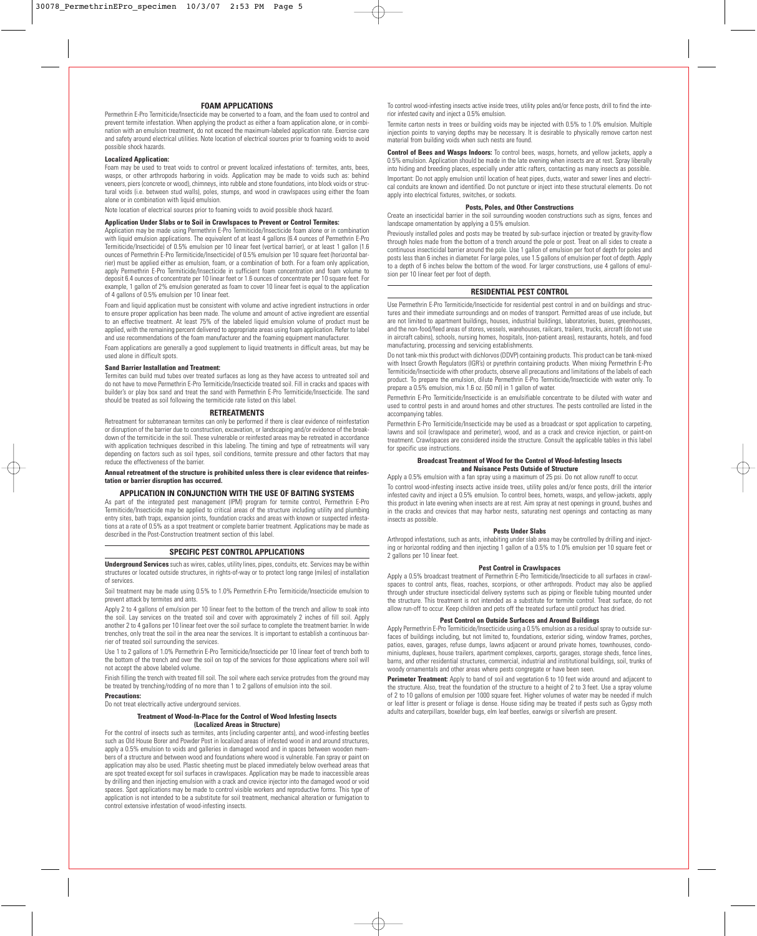## **FOAM APPLICATIONS**

Permethrin E-Pro Termiticide/Insecticide may be converted to a foam, and the foam used to control and prevent termite infestation. When applying the product as either a foam application alone, or in combination with an emulsion treatment, do not exceed the maximum-labeled application rate. Exercise care and safety around electrical utilities. Note location of electrical sources prior to foaming voids to avoid possible shock hazards.

## **Localized Application:**

Foam may be used to treat voids to control or prevent localized infestations of: termites, ants, bees, wasps, or other arthropods harboring in voids. Application may be made to voids such as: behind veneers, piers (concrete or wood), chimneys, into rubble and stone foundations, into block voids or structural voids (i.e. between stud walls), poles, stumps, and wood in crawlspaces using either the foam alone or in combination with liquid emulsion.

Note location of electrical sources prior to foaming voids to avoid possible shock hazard.

#### **Application Under Slabs or to Soil in Crawlspaces to Prevent or Control Termites:**

Application may be made using Permethrin E-Pro Termiticide/Insecticide foam alone or in combination with liquid emulsion applications. The equivalent of at least 4 gallons (6.4 ounces of Permethrin E-Pro Termiticide/Insecticide) of 0.5% emulsion per 10 linear feet (vertical barrier), or at least 1 gallon (1.6 ounces of Permethrin E-Pro Termiticide/Insecticide) of 0.5% emulsion per 10 square feet (horizontal barrier) must be applied either as emulsion, foam, or a combination of both. For a foam only application, apply Permethrin E-Pro Termiticide/Insecticide in sufficient foam concentration and foam volume to deposit 6.4 ounces of concentrate per 10 linear feet or 1.6 ounces of concentrate per 10 square feet. For example, 1 gallon of 2% emulsion generated as foam to cover 10 linear feet is equal to the application of 4 gallons of 0.5% emulsion per 10 linear feet.

Foam and liquid application must be consistent with volume and active ingredient instructions in order to ensure proper application has been made. The volume and amount of active ingredient are essential to an effective treatment. At least 75% of the labeled liquid emulsion volume of product must be applied, with the remaining percent delivered to appropriate areas using foam application. Refer to label and use recommendations of the foam manufacturer and the foaming equipment manufacturer.

Foam applications are generally a good supplement to liquid treatments in difficult areas, but may be used alone in difficult spots.

#### **Sand Barrier Installation and Treatment:**

Termites can build mud tubes over treated surfaces as long as they have access to untreated soil and do not have to move Permethrin E-Pro Termiticide/Insecticide treated soil. Fill in cracks and spaces with builder's or play box sand and treat the sand with Permethrin E-Pro Termiticide/Insecticide. The sand should be treated as soil following the termiticide rate listed on this label.

#### **RETREATMENTS**

Retreatment for subterranean termites can only be performed if there is clear evidence of reinfestation or disruption of the barrier due to construction, excavation, or landscaping and/or evidence of the breakdown of the termiticide in the soil. These vulnerable or reinfested areas may be retreated in accordance with application techniques described in this labeling. The timing and type of retreatments will vary depending on factors such as soil types, soil conditions, termite pressure and other factors that may reduce the effectiveness of the barrier.

**Annual retreatment of the structure is prohibited unless there is clear evidence that reinfestation or barrier disruption has occurred.**

#### **APPLICATION IN CONJUNCTION WITH THE USE OF BAITING SYSTEMS**

As part of the integrated pest management (IPM) program for termite control, Permethrin E-Pro Termiticide/Insecticide may be applied to critical areas of the structure including utility and plumbing entry sites, bath traps, expansion joints, foundation cracks and areas with known or suspected infestations at a rate of 0.5% as a spot treatment or complete barrier treatment. Applications may be made as described in the Post-Construction treatment section of this label.

# **SPECIFIC PEST CONTROL APPLICATIONS**

**Underground Services** such as wires, cables, utility lines, pipes, conduits, etc. Services may be within structures or located outside structures, in rights-of-way or to protect long range (miles) of installation of services.

Soil treatment may be made using 0.5% to 1.0% Permethrin E-Pro Termiticide/Insecticide emulsion to prevent attack by termites and ants.

Apply 2 to 4 gallons of emulsion per 10 linear feet to the bottom of the trench and allow to soak into the soil. Lay services on the treated soil and cover with approximately 2 inches of fill soil. Apply another 2 to 4 gallons per 10 linear feet over the soil surface to complete the treatment barrier. In wide trenches, only treat the soil in the area near the services. It is important to establish a continuous barrier of treated soil surrounding the services.

Use 1 to 2 gallons of 1.0% Permethrin E-Pro Termiticide/Insecticide per 10 linear feet of trench both to the bottom of the trench and over the soil on top of the services for those applications where soil will not accept the above labeled volume.

Finish filling the trench with treated fill soil. The soil where each service protrudes from the ground may be treated by trenching/rodding of no more than 1 to 2 gallons of emulsion into the soil.

#### **Precautions:**

Do not treat electrically active underground services.

#### **Treatment of Wood-In-Place for the Control of Wood Infesting Insects (Localized Areas in Structure)**

For the control of insects such as termites, ants (including carpenter ants), and wood-infesting beetles such as Old House Borer and Powder Post in localized areas of infested wood in and around structures, apply a 0.5% emulsion to voids and galleries in damaged wood and in spaces between wooden members of a structure and between wood and foundations where wood is vulnerable. Fan spray or paint on application may also be used. Plastic sheeting must be placed immediately below overhead areas that are spot treated except for soil surfaces in crawlspaces. Application may be made to inaccessible areas by drilling and then injecting emulsion with a crack and crevice injector into the damaged wood or void spaces. Spot applications may be made to control visible workers and reproductive forms. This type of application is not intended to be a substitute for soil treatment, mechanical alteration or fumigation to control extensive infestation of wood-infesting insects.

To control wood-infesting insects active inside trees, utility poles and/or fence posts, drill to find the interior infested cavity and inject a 0.5% emulsion.

Termite carton nests in trees or building voids may be injected with 0.5% to 1.0% emulsion. Multiple injection points to varying depths may be necessary. It is desirable to physically remove carton nest material from building voids when such nests are found.

**Control of Bees and Wasps Indoors:** To control bees, wasps, hornets, and yellow jackets, apply a 0.5% emulsion. Application should be made in the late evening when insects are at rest. Spray liberally into hiding and breeding places, especially under attic rafters, contacting as many insects as possible. Important: Do not apply emulsion until location of heat pipes, ducts, water and sewer lines and electrical conduits are known and identified. Do not puncture or inject into these structural elements. Do not apply into electrical fixtures, switches, or sockets.

#### **Posts, Poles, and Other Constructions**

Create an insecticidal barrier in the soil surrounding wooden constructions such as signs, fences and landscape ornamentation by applying a 0.5% emulsion.

Previously installed poles and posts may be treated by sub-surface injection or treated by gravity-flow through holes made from the bottom of a trench around the pole or post. Treat on all sides to create a continuous insecticidal barrier around the pole. Use 1 gallon of emulsion per foot of depth for poles and posts less than 6 inches in diameter. For large poles, use 1.5 gallons of emulsion per foot of depth. Apply to a depth of 6 inches below the bottom of the wood. For larger constructions, use 4 gallons of emulsion per 10 linear feet per foot of depth.

#### **RESIDENTIAL PEST CONTROL**

Use Permethrin E-Pro Termiticide/Insecticide for residential pest control in and on buildings and structures and their immediate surroundings and on modes of transport. Permitted areas of use include, but are not limited to apartment buildings, houses, industrial buildings, laboratories, buses, greenhouses, and the non-food/feed areas of stores, vessels, warehouses, railcars, trailers, trucks, aircraft (do not use in aircraft cabins), schools, nursing homes, hospitals, (non-patient areas), restaurants, hotels, and food manufacturing, processing and servicing establishments.

Do not tank-mix this product with dichlorvos (DDVP) containing products. This product can be tank-mixed with Insect Growth Regulators (IGR's) or pyrethrin containing products. When mixing Permethrin E-Pro Termiticide/Insecticide with other products, observe all precautions and limitations of the labels of each product. To prepare the emulsion, dilute Permethrin E-Pro Termiticide/Insecticide with water only. To prepare a 0.5% emulsion, mix 1.6 oz. (50 ml) in 1 gallon of water.

Permethrin E-Pro Termiticide/Insecticide is an emulsifiable concentrate to be diluted with water and used to control pests in and around homes and other structures. The pests controlled are listed in the accompanying tables.

Permethrin E-Pro Termiticide/Insecticide may be used as a broadcast or spot application to carpeting, lawns and soil (crawlspace and perimeter), wood, and as a crack and crevice injection, or paint-on treatment. Crawlspaces are considered inside the structure. Consult the applicable tables in this label for specific use instructions.

#### **Broadcast Treatment of Wood for the Control of Wood-Infesting Insects and Nuisance Pests Outside of Structure**

Apply a 0.5% emulsion with a fan spray using a maximum of 25 psi. Do not allow runoff to occur.

To control wood-infesting insects active inside trees, utility poles and/or fence posts, drill the interior infested cavity and inject a 0.5% emulsion. To control bees, hornets, wasps, and yellow-jackets, apply this product in late evening when insects are at rest. Aim spray at nest openings in ground, bushes and in the cracks and crevices that may harbor nests, saturating nest openings and contacting as many insects as possible.

#### **Pests Under Slabs**

Arthropod infestations, such as ants, inhabiting under slab area may be controlled by drilling and injecting or horizontal rodding and then injecting 1 gallon of a 0.5% to 1.0% emulsion per 10 square feet or 2 gallons per 10 linear feet.

## **Pest Control in Crawlspaces**

Apply a 0.5% broadcast treatment of Permethrin E-Pro Termiticide/Insecticide to all surfaces in crawlspaces to control ants, fleas, roaches, scorpions, or other arthropods. Product may also be applied through under structure insecticidal delivery systems such as piping or flexible tubing mounted under the structure. This treatment is not intended as a substitute for termite control. Treat surface, do not allow run-off to occur. Keep children and pets off the treated surface until product has dried.

#### **Pest Control on Outside Surfaces and Around Buildings**

Apply Permethrin E-Pro Termiticide/Insecticide using a 0.5% emulsion as a residual spray to outside surfaces of buildings including, but not limited to, foundations, exterior siding, window frames, porches, patios, eaves, garages, refuse dumps, lawns adjacent or around private homes, townhouses, condominiums, duplexes, house trailers, apartment complexes, carports, garages, storage sheds, fence lines, barns, and other residential structures, commercial, industrial and institutional buildings, soil, trunks of woody ornamentals and other areas where pests congregate or have been seen.

**Perimeter Treatment:** Apply to band of soil and vegetation 6 to 10 feet wide around and adjacent to the structure. Also, treat the foundation of the structure to a height of 2 to 3 feet. Use a spray volume of 2 to 10 gallons of emulsion per 1000 square feet. Higher volumes of water may be needed if mulch or leaf litter is present or foliage is dense. House siding may be treated if pests such as Gypsy moth adults and caterpillars, boxelder bugs, elm leaf beetles, earwigs or silverfish are present.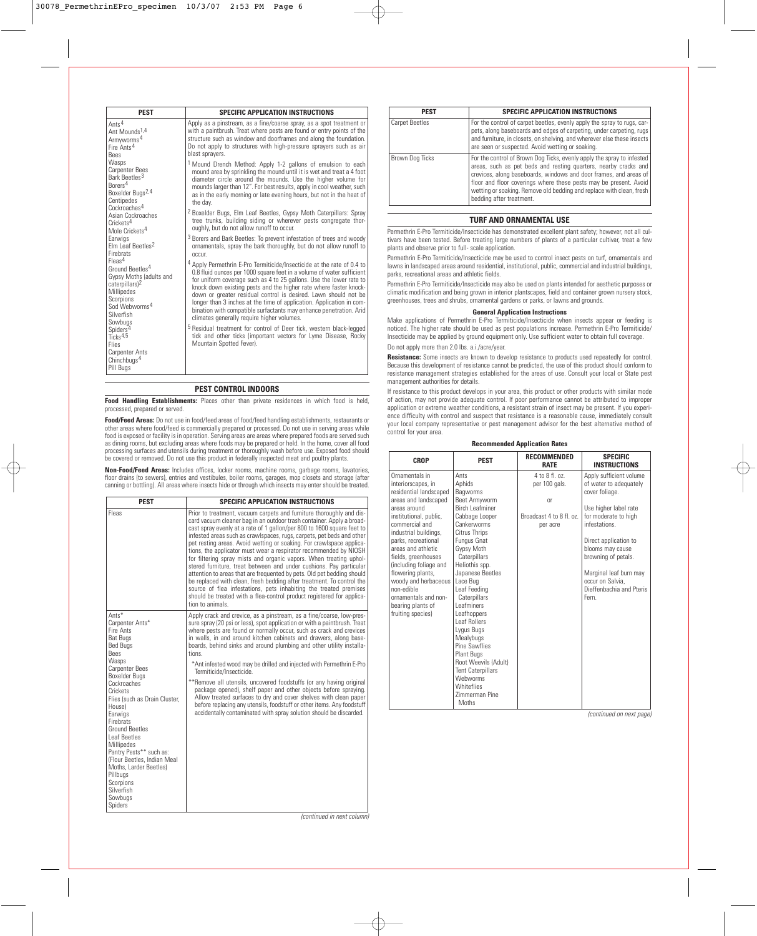| <b>PEST</b>                                                                                                                                                                                    | <b>SPECIFIC APPLICATION INSTRUCTIONS</b>                                                                                                                                                                                                                                                                                                                                                                                                                                                                                                                              |  |  |
|------------------------------------------------------------------------------------------------------------------------------------------------------------------------------------------------|-----------------------------------------------------------------------------------------------------------------------------------------------------------------------------------------------------------------------------------------------------------------------------------------------------------------------------------------------------------------------------------------------------------------------------------------------------------------------------------------------------------------------------------------------------------------------|--|--|
| Ants <sup>4</sup><br>Ant Mounds <sup>1,4</sup><br>Armyworms <sup>4</sup><br>Fire Ants <sup>4</sup><br><b>Bees</b>                                                                              | Apply as a pinstream, as a fine/coarse spray, as a spot treatment or<br>with a paintbrush. Treat where pests are found or entry points of the<br>structure such as window and doorframes and along the foundation.<br>Do not apply to structures with high-pressure sprayers such as air<br>blast spravers.                                                                                                                                                                                                                                                           |  |  |
| Wasps<br><b>Carpenter Bees</b><br>Bark Beetles <sup>3</sup><br>Borers <sup>4</sup><br>Boxelder Bugs <sup>2,4</sup><br>Centipedes<br>Cockroaches <sup>4</sup>                                   | <sup>1</sup> Mound Drench Method: Apply 1-2 gallons of emulsion to each<br>mound area by sprinkling the mound until it is wet and treat a 4 foot<br>diameter circle around the mounds. Use the higher volume for<br>mounds larger than 12". For best results, apply in cool weather, such<br>as in the early morning or late evening hours, but not in the heat of<br>the day.                                                                                                                                                                                        |  |  |
| Asian Cockroaches<br>Crickets <sup>4</sup><br>Mole Crickets <sup>4</sup>                                                                                                                       | <sup>2</sup> Boxelder Bugs, Elm Leaf Beetles, Gypsy Moth Caterpillars: Spray<br>tree trunks, building siding or wherever pests congregate thor-<br>oughly, but do not allow runoff to occur.                                                                                                                                                                                                                                                                                                                                                                          |  |  |
| Earwigs<br>Flm Leaf Beetles <sup>2</sup><br>Firebrats                                                                                                                                          | <sup>3</sup> Borers and Bark Beetles: To prevent infestation of trees and woody<br>ornamentals, spray the bark thoroughly, but do not allow runoff to<br>occur.                                                                                                                                                                                                                                                                                                                                                                                                       |  |  |
| $F$ leas <sup>4</sup><br>Ground Beetles <sup>4</sup><br>Gypsy Moths (adults and<br>caterpillars) <sup>2</sup><br>Millipedes<br>Scorpions<br>Sod Webworms <sup>4</sup><br>Silverfish<br>Sowbuas | <sup>4</sup> Apply Permethrin E-Pro Termiticide/Insecticide at the rate of 0.4 to<br>0.8 fluid ounces per 1000 square feet in a volume of water sufficient<br>for uniform coverage such as 4 to 25 gallons. Use the lower rate to<br>knock down existing pests and the higher rate where faster knock-<br>down or greater residual control is desired. Lawn should not be<br>longer than 3 inches at the time of application. Application in com-<br>bination with compatible surfactants may enhance penetration. Arid<br>climates generally require higher volumes. |  |  |
| Spiders <sup>4</sup><br>Ticks <sup>4,5</sup><br><b>Flies</b><br><b>Carpenter Ants</b>                                                                                                          | <sup>5</sup> Residual treatment for control of Deer tick, western black-legged<br>tick and other ticks (important vectors for Lyme Disease, Rocky<br>Mountain Spotted Fever).                                                                                                                                                                                                                                                                                                                                                                                         |  |  |
| Chinchbugs <sup>4</sup><br>Pill Bugs                                                                                                                                                           |                                                                                                                                                                                                                                                                                                                                                                                                                                                                                                                                                                       |  |  |

# **PEST CONTROL INDOORS**

**Food Handling Establishments:** Places other than private residences in which food is held, processed, prepared or served.

**Food/Feed Areas:** Do not use in food/feed areas of food/feed handling establishments, restaurants or other areas where food/feed is commercially prepared or processed. Do not use in serving areas while food is exposed or facility is in operation. Serving areas are areas where prepared foods are served such as dining rooms, but excluding areas where foods may be prepared or held. In the home, cover all food processing surfaces and utensils during treatment or thoroughly wash before use. Exposed food should be covered or removed. Do not use this product in federally inspected meat and poultry plants.

**Non-Food/Feed Areas:** Includes offices, locker rooms, machine rooms, garbage rooms, lavatories, floor drains (to sewers), entries and vestibules, boiler rooms, garages, mop closets and storage (after canning or bottling). All areas where insects hide or through which insects may enter should be treated.

| <b>PEST</b>                                                                                                                                                                                                                                                                                                                                                                                                                                          | <b>SPECIFIC APPLICATION INSTRUCTIONS</b>                                                                                                                                                                                                                                                                                                                                                                                                                                                                                                                                                                                                                                                                                                                                                                                                                                                                       |
|------------------------------------------------------------------------------------------------------------------------------------------------------------------------------------------------------------------------------------------------------------------------------------------------------------------------------------------------------------------------------------------------------------------------------------------------------|----------------------------------------------------------------------------------------------------------------------------------------------------------------------------------------------------------------------------------------------------------------------------------------------------------------------------------------------------------------------------------------------------------------------------------------------------------------------------------------------------------------------------------------------------------------------------------------------------------------------------------------------------------------------------------------------------------------------------------------------------------------------------------------------------------------------------------------------------------------------------------------------------------------|
| Fleas                                                                                                                                                                                                                                                                                                                                                                                                                                                | Prior to treatment, vacuum carpets and furniture thoroughly and dis-<br>card vacuum cleaner bag in an outdoor trash container. Apply a broad-<br>cast spray evenly at a rate of 1 gallon/per 800 to 1600 square feet to<br>infested areas such as crawlspaces, rugs, carpets, pet beds and other<br>pet resting areas. Avoid wetting or soaking. For crawlspace applica-<br>tions, the applicator must wear a respirator recommended by NIOSH<br>for filtering spray mists and organic vapors. When treating uphol-<br>stered furniture, treat between and under cushions. Pay particular<br>attention to areas that are frequented by pets. Old pet bedding should<br>be replaced with clean, fresh bedding after treatment. To control the<br>source of flea infestations, pets inhabiting the treated premises<br>should be treated with a flea-control product registered for applica-<br>tion to animals. |
| Ants*<br>Carpenter Ants*<br>Fire Ants<br><b>Bat Bugs</b><br><b>Bed Bugs</b><br>Bees<br>Wasps<br><b>Carpenter Bees</b><br>Boxelder Buas<br>Cockroaches<br>Crickets<br>Flies (such as Drain Cluster,<br>House)<br>Earwigs<br>Firebrats<br><b>Ground Beetles</b><br><b>Leaf Beetles</b><br>Millipedes<br>Pantry Pests** such as:<br>(Flour Beetles, Indian Meal)<br>Moths, Larder Beetles)<br>Pillbugs<br>Scorpions<br>Silverfish<br>Sowbugs<br>Spiders | Apply crack and crevice, as a pinstream, as a fine/coarse, low-pres-<br>sure spray (20 psi or less), spot application or with a paintbrush. Treat<br>where pests are found or normally occur, such as crack and crevices<br>in walls, in and around kitchen cabinets and drawers, along base-<br>boards, behind sinks and around plumbing and other utility installa-<br>tions.<br>*Ant infested wood may be drilled and injected with Permethrin E-Pro<br>Termiticide/Insecticide.<br>**Remove all utensils, uncovered foodstuffs (or any having original<br>package opened), shelf paper and other objects before spraying.<br>Allow treated surfaces to dry and cover shelves with clean paper<br>before replacing any utensils, foodstuff or other items. Any foodstuff<br>accidentally contaminated with spray solution should be discarded.                                                              |

| <b>PEST</b>           | <b>SPECIFIC APPLICATION INSTRUCTIONS</b>                                                                                                                                                                                                                                                                                                                                                |  |  |
|-----------------------|-----------------------------------------------------------------------------------------------------------------------------------------------------------------------------------------------------------------------------------------------------------------------------------------------------------------------------------------------------------------------------------------|--|--|
| <b>Carpet Beetles</b> | For the control of carpet beetles, evenly apply the spray to rugs, car-<br>pets, along baseboards and edges of carpeting, under carpeting, rugs<br>and furniture, in closets, on shelving, and wherever else these insects<br>are seen or suspected. Avoid wetting or soaking.                                                                                                          |  |  |
| Brown Dog Ticks       | For the control of Brown Dog Ticks, evenly apply the spray to infested<br>areas, such as pet beds and resting quarters, nearby cracks and<br>crevices, along baseboards, windows and door frames, and areas of<br>floor and floor coverings where these pests may be present. Avoid<br>wetting or soaking. Remove old bedding and replace with clean, fresh<br>bedding after treatment. |  |  |

## **TURF AND ORNAMENTAL USE**

Permethrin E-Pro Termiticide/Insecticide has demonstrated excellent plant safety; however, not all cultivars have been tested. Before treating large numbers of plants of a particular cultivar, treat a few plants and observe prior to full- scale application.

Permethrin E-Pro Termiticide/Insecticide may be used to control insect pests on turf, ornamentals and lawns in landscaped areas around residential, institutional, public, commercial and industrial buildings, parks, recreational areas and athletic fields.

Permethrin E-Pro Termiticide/Insecticide may also be used on plants intended for aesthetic purposes or climatic modification and being grown in interior plantscapes, field and container grown nursery stock, greenhouses, trees and shrubs, ornamental gardens or parks, or lawns and grounds.

#### **General Application Instructions**

Make applications of Permethrin E-Pro Termiticide/Insecticide when insects appear or feeding is noticed. The higher rate should be used as pest populations increase. Permethrin E-Pro Termiticide/ Insecticide may be applied by ground equipment only. Use sufficient water to obtain full coverage. Do not apply more than 2.0 lbs. a.i./acre/year.

**Resistance:** Some insects are known to develop resistance to products used repeatedly for control. Because this development of resistance cannot be predicted, the use of this product should conform to resistance management strategies established for the areas of use. Consult your local or State pest management authorities for details.

If resistance to this product develops in your area, this product or other products with similar mode of action, may not provide adequate control. If poor performance cannot be attributed to improper application or extreme weather conditions, a resistant strain of insect may be present. If you experience difficulty with control and suspect that resistance is a reasonable cause, immediately consult your local company representative or pest management advisor for the best alternative method of control for your area.

| <b>CROP</b>                                                                                                                                                                                                                                                                                                                                                                                            | <b>PEST</b>                                                                                                                                                                                                                                                                                                                                                                                                                                                                                 | <b>RECOMMENDED</b><br><b>RATE</b>                                             | <b>SPECIFIC</b><br><b>INSTRUCTIONS</b>                                                                                                                                                                                                                                                       |
|--------------------------------------------------------------------------------------------------------------------------------------------------------------------------------------------------------------------------------------------------------------------------------------------------------------------------------------------------------------------------------------------------------|---------------------------------------------------------------------------------------------------------------------------------------------------------------------------------------------------------------------------------------------------------------------------------------------------------------------------------------------------------------------------------------------------------------------------------------------------------------------------------------------|-------------------------------------------------------------------------------|----------------------------------------------------------------------------------------------------------------------------------------------------------------------------------------------------------------------------------------------------------------------------------------------|
| Ornamentals in<br>interiorscapes, in<br>residential landscaped<br>areas and landscaped<br>areas around<br>institutional, public,<br>commercial and<br>industrial buildings,<br>parks, recreational<br>areas and athletic<br>fields, greenhouses<br>(including foliage and<br>flowering plants,<br>woody and herbaceous<br>non-edible<br>ornamentals and non-<br>bearing plants of<br>fruiting species) | Ants<br>Aphids<br>Bagworms<br>Beet Armyworm<br><b>Birch Leafminer</b><br>Cabbage Looper<br>Cankerworms<br>Citrus Thrips<br>Fungus Gnat<br>Gypsy Moth<br>Caterpillars<br>Heliothis spp.<br>Japanese Beetles<br>Lace Bug<br>Leaf Feeding<br>Caterpillars<br><b>Leafminers</b><br>Leafhoppers<br>Leaf Rollers<br>Lygus Bugs<br>Mealvbugs<br>Pine Sawflies<br>Plant Bugs<br>Root Weevils (Adult)<br><b>Tent Caterpillars</b><br>Webworms<br>Whiteflies<br><b>7immerman Pine</b><br><b>Moths</b> | 4 to 8 fl. oz.<br>per 100 gals.<br>0r<br>Broadcast 4 to 8 fl. oz.<br>per acre | Apply sufficient volume<br>of water to adequately<br>cover foliage.<br>Use higher label rate<br>for moderate to high<br>infestations.<br>Direct application to<br>blooms may cause<br>browning of petals.<br>Marginal leaf burn may<br>occur on Salvia.<br>Dieffenbachia and Pteris<br>Fern. |

## **Recommended Application Rates**

(continued on next page)

(continued in next column)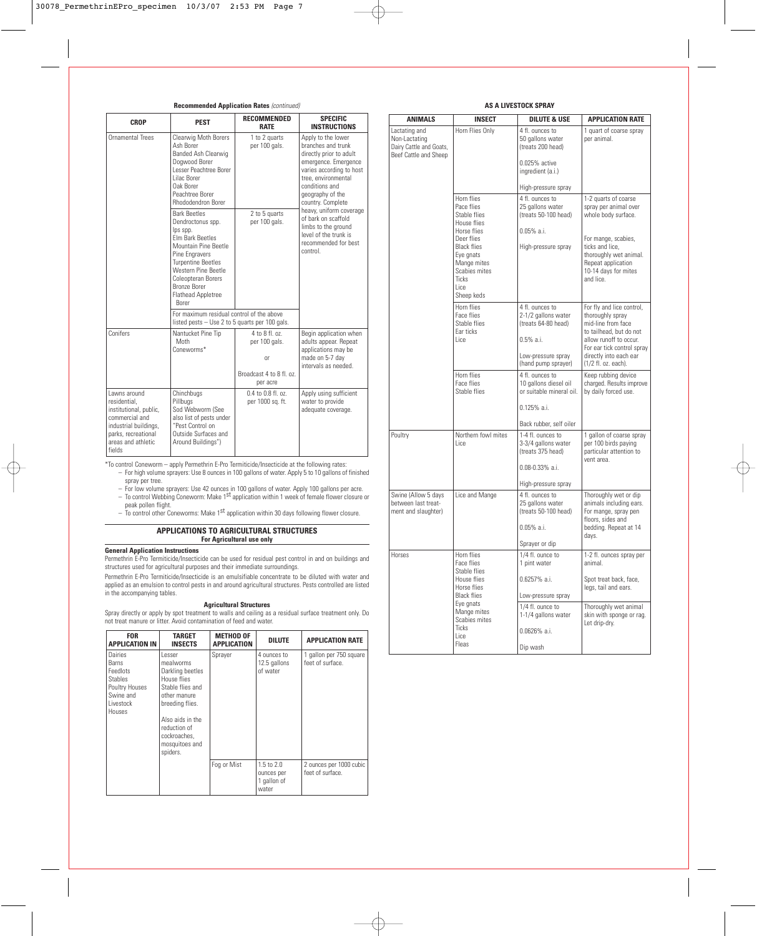## **Recommended Application Rates** (continued)

| <b>CROP</b>                                                                                                                                              | <b>PEST</b>                                                                                                                                                                                                                                        | <b>RECOMMENDED</b><br><b>RATE</b>                                                    | <b>SPECIFIC</b><br><b>INSTRUCTIONS</b>                                                                                                                                                                    |  |
|----------------------------------------------------------------------------------------------------------------------------------------------------------|----------------------------------------------------------------------------------------------------------------------------------------------------------------------------------------------------------------------------------------------------|--------------------------------------------------------------------------------------|-----------------------------------------------------------------------------------------------------------------------------------------------------------------------------------------------------------|--|
| <b>Ornamental Trees</b>                                                                                                                                  | Clearwig Moth Borers<br>Ash Borer<br>Banded Ash Clearwig<br>Dogwood Borer<br>Lesser Peachtree Borer<br>Lilac Borer<br>Oak Borer<br>Peachtree Borer<br><b>Rhododendron Borer</b>                                                                    | 1 to 2 quarts<br>per 100 gals.                                                       | Apply to the lower<br>branches and trunk<br>directly prior to adult<br>emergence. Emergence<br>varies according to host<br>tree, environmental<br>conditions and<br>geography of the<br>country. Complete |  |
|                                                                                                                                                          | <b>Bark Beetles</b><br>Dendroctonus spp.<br>lps spp.<br>Flm Bark Beetles<br>Mountain Pine Beetle<br>Pine Engravers<br><b>Turpentine Beetles</b><br>Western Pine Beetle<br>Coleopteran Borers<br>Bronze Borer<br><b>Flathead Appletree</b><br>Borer | 2 to 5 quarts<br>per 100 gals.                                                       | heavy, uniform coverage<br>of bark on scaffold<br>limbs to the ground<br>level of the trunk is<br>recommended for best<br>control.                                                                        |  |
|                                                                                                                                                          | For maximum residual control of the above<br>listed pests $-$ Use 2 to 5 quarts per 100 gals.                                                                                                                                                      |                                                                                      |                                                                                                                                                                                                           |  |
| Conifers                                                                                                                                                 | Nantucket Pine Tip<br>Moth<br>Coneworms*                                                                                                                                                                                                           | 4 to 8 fl. oz.<br>per 100 gals.<br><b>or</b><br>Broadcast 4 to 8 fl. oz.<br>per acre | Begin application when<br>adults appear. Repeat<br>applications may be<br>made on 5-7 day<br>intervals as needed.                                                                                         |  |
| Lawns around<br>residential.<br>institutional, public,<br>commercial and<br>industrial buildings,<br>parks, recreational<br>areas and athletic<br>fields | Chinchbugs<br>Pillbugs<br>Sod Webworm (See<br>also list of pests under<br>"Pest Control on<br>Outside Surfaces and<br>Around Buildings")                                                                                                           | $0.4$ to $0.8$ fl. oz.<br>per 1000 sq. ft.                                           | Apply using sufficient<br>water to provide<br>adequate coverage.                                                                                                                                          |  |

\*To control Coneworm – apply Permethrin E-Pro Termiticide/Insecticide at the following rates:

- For high volume sprayers: Use 8 ounces in 100 gallons of water. Apply 5 to 10 gallons of finished spray per tree.
- For low volume sprayers: Use 42 ounces in 100 gallons of water. Apply 100 gallons per acre.<br>— To control Webbing Coneworm: Make 1<sup>st</sup> application within 1 week of female flower closure or
- peak pollen flight.
- $-$  To control other Coneworms: Make 1<sup>st</sup> application within 30 days following flower closure.

## **APPLICATIONS TO AGRICULTURAL STRUCTURES For Agricultural use only**

## **General Application Instructions**

Permethrin E-Pro Termiticide/Insecticide can be used for residual pest control in and on buildings and structures used for agricultural purposes and their immediate surroundings.

Permethrin E-Pro Termiticide/Insecticide is an emulsifiable concentrate to be diluted with water and applied as an emulsion to control pests in and around agricultural structures. Pests controlled are listed in the accompanying tables.

# **Agricultural Structures**

Spray directly or apply by spot treatment to walls and ceiling as a residual surface treatment only. Do not treat manure or litter. Avoid contamination of feed and water.

| <b>FOR</b><br><b>APPLICATION IN</b>                                                                         | TARGET<br><b>INSECTS</b>                                                                                                                                                                        | <b>METHOD OF</b><br><b>APPLICATION</b> | <b>DILUTE</b>                                               | <b>APPLICATION RATE</b>                     |
|-------------------------------------------------------------------------------------------------------------|-------------------------------------------------------------------------------------------------------------------------------------------------------------------------------------------------|----------------------------------------|-------------------------------------------------------------|---------------------------------------------|
| Dairies<br><b>Barns</b><br>Feedlots<br><b>Stables</b><br>Poultry Houses<br>Swine and<br>Livestock<br>Houses | Lesser<br>mealworms<br>Darkling beetles<br>House flies<br>Stable flies and<br>other manure<br>breeding flies.<br>Also aids in the<br>reduction of<br>cockroaches.<br>mosquitoes and<br>spiders. | Sprayer                                | 4 ounces to<br>12.5 gallons<br>of water                     | 1 gallon per 750 square<br>feet of surface. |
|                                                                                                             |                                                                                                                                                                                                 | Fog or Mist                            | $1.5 \text{ to } 2.0$<br>ounces per<br>1 gallon of<br>water | 2 ounces per 1000 cubic<br>feet of surface. |

# **AS A LIVESTOCK SPRAY**

| <b>ANIMALS</b>                                                                     | <b>INSECT</b>                                                                                         | <b>DILUTE &amp; USE</b>                                                      | <b>APPLICATION RATE</b>                                                                                                  |
|------------------------------------------------------------------------------------|-------------------------------------------------------------------------------------------------------|------------------------------------------------------------------------------|--------------------------------------------------------------------------------------------------------------------------|
| Lactating and<br>Non-Lactating<br>Dairy Cattle and Goats,<br>Beef Cattle and Sheep | Horn Flies Only                                                                                       | 4 fl. ounces to<br>50 gallons water<br>(treats 200 head)<br>0.025% active    | 1 quart of coarse spray<br>per animal.                                                                                   |
|                                                                                    |                                                                                                       | ingredient (a.i.)                                                            |                                                                                                                          |
|                                                                                    |                                                                                                       | High-pressure spray                                                          |                                                                                                                          |
|                                                                                    | Horn flies<br>Pace flies<br>Stable flies<br>House flies<br>Horse flies                                | 4 fl. ounces to<br>25 gallons water<br>(treats 50-100 head)<br>$0.05%$ a.i.  | 1-2 quarts of coarse<br>spray per animal over<br>whole body surface.                                                     |
|                                                                                    | Deer flies                                                                                            |                                                                              | For mange, scabies,                                                                                                      |
|                                                                                    | <b>Black flies</b><br>Eye gnats<br>Mange mites<br>Scabies mites<br><b>Ticks</b><br>Lice<br>Sheep keds | High-pressure spray                                                          | ticks and lice,<br>thoroughly wet animal.<br>Repeat application<br>10-14 days for mites<br>and lice.                     |
|                                                                                    | Horn flies<br>Face flies<br>Stable flies<br>Far ticks<br>l ice                                        | 4 fl. ounces to<br>2-1/2 gallons water<br>(treats 64-80 head)<br>$0.5%$ a.i. | For fly and lice control,<br>thoroughly spray<br>mid-line from face<br>to tailhead, but do not<br>allow runoff to occur. |
|                                                                                    |                                                                                                       |                                                                              | For ear tick control spray                                                                                               |
|                                                                                    |                                                                                                       | Low-pressure spray<br>(hand pump sprayer)                                    | directly into each ear<br>(1/2 fl. oz. each).                                                                            |
|                                                                                    | Horn flies<br>Face flies<br>Stable flies                                                              | 4 fl. ounces to<br>10 gallons diesel oil<br>or suitable mineral oil.         | Keep rubbing device<br>charged. Results improve<br>by daily forced use.                                                  |
|                                                                                    |                                                                                                       | 0.125% a.i.                                                                  |                                                                                                                          |
|                                                                                    |                                                                                                       | Back rubber, self oiler                                                      |                                                                                                                          |
| Poultry                                                                            | Northern fowl mites<br>Lice                                                                           | 1-4 fl. ounces to<br>3-3/4 gallons water<br>(treats 375 head)                | 1 gallon of coarse spray<br>per 100 birds paying<br>particular attention to<br>vent area.                                |
|                                                                                    |                                                                                                       | $0.08 - 0.33%$ a.i.                                                          |                                                                                                                          |
|                                                                                    |                                                                                                       | High-pressure spray                                                          |                                                                                                                          |
| Swine (Allow 5 days<br>between last treat-<br>ment and slaughter)                  | Lice and Mange                                                                                        | 4 fl. ounces to<br>25 gallons water<br>(treats 50-100 head)                  | Thoroughly wet or dip<br>animals including ears.<br>For mange, spray pen                                                 |
|                                                                                    |                                                                                                       | $0.05%$ a.i.                                                                 | floors, sides and<br>bedding. Repeat at 14<br>days.                                                                      |
|                                                                                    |                                                                                                       | Sprayer or dip                                                               |                                                                                                                          |
| Horses                                                                             | Horn flies<br>Face flies<br>Stable flies                                                              | 1/4 fl. ounce to<br>1 pint water                                             | 1-2 fl. ounces spray per<br>animal.                                                                                      |
|                                                                                    | House flies                                                                                           | $0.6257\%$ a.i.                                                              | Spot treat back, face,                                                                                                   |
|                                                                                    | Horse flies<br><b>Black flies</b>                                                                     | Low-pressure spray                                                           | legs, tail and ears.                                                                                                     |
|                                                                                    | Eye gnats<br>Mange mites<br>Scabies mites                                                             | 1/4 fl. ounce to<br>1-1/4 gallons water                                      | Thoroughly wet animal<br>skin with sponge or rag.<br>Let drip-drv.                                                       |
|                                                                                    | Ticks<br>Lice                                                                                         | $0.0626\%$ a.i.                                                              |                                                                                                                          |
|                                                                                    | Fleas                                                                                                 | Dip wash                                                                     |                                                                                                                          |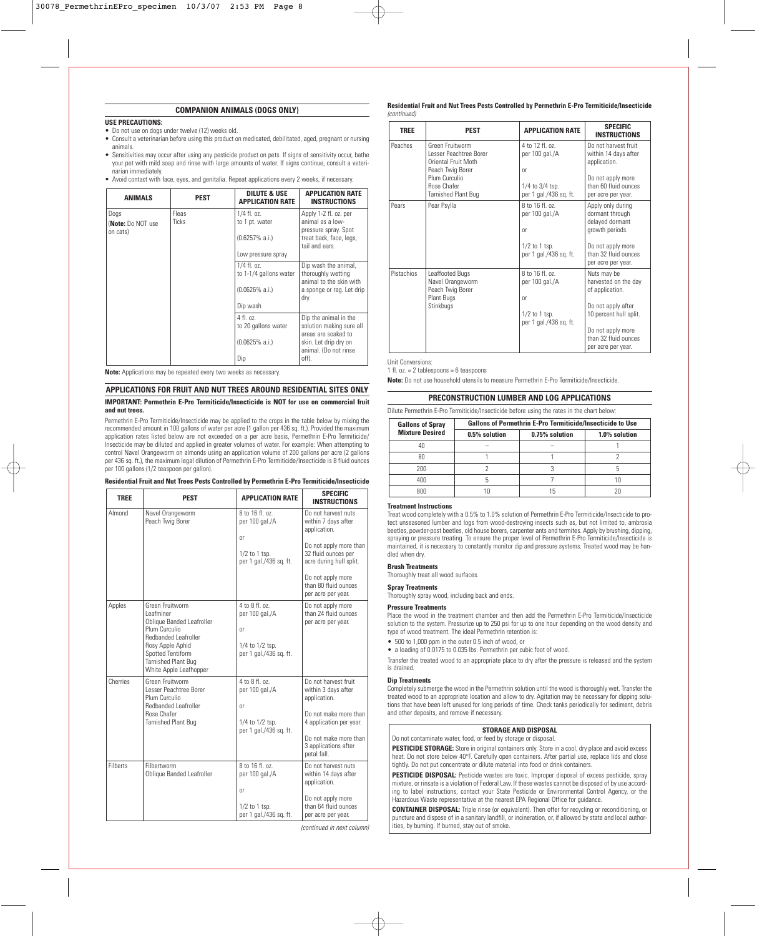## **COMPANION ANIMALS (DOGS ONLY)**

## **USE PRECAUTIONS:**

- Do not use on dogs under twelve (12) weeks old.
- Consult a veterinarian before using this product on medicated, debilitated, aged, pregnant or nursing animals.
- Sensitivities may occur after using any pesticide product on pets. If signs of sensitivity occur, bathe your pet with mild soap and rinse with large amounts of water. If signs continue, consult a veterinarian immediately.
- Avoid contact with face, eyes, and genitalia. Repeat applications every 2 weeks, if necessary.

| <b>ANIMALS</b>                        | <b>PEST</b>                                                       | DILUTE & USE<br><b>APPLICATION RATE</b>                                                                                             | <b>APPLICATION RATE</b><br><b>INSTRUCTIONS</b>                                                                 |
|---------------------------------------|-------------------------------------------------------------------|-------------------------------------------------------------------------------------------------------------------------------------|----------------------------------------------------------------------------------------------------------------|
| Dogs<br>(Note: Do NOT use<br>on cats) | Fleas<br><b>Ticks</b>                                             | $1/4$ fl. oz.<br>to 1 pt. water<br>$(0.6257\% a.i.)$<br>Low pressure spray                                                          | Apply 1-2 fl. oz. per<br>animal as a low-<br>pressure spray. Spot<br>treat back, face, legs,<br>tail and ears. |
|                                       |                                                                   | $1/4$ fl. oz.<br>to 1-1/4 gallons water<br>$(0.0626\% a.i.)$<br>Dip wash                                                            | Dip wash the animal,<br>thoroughly wetting<br>animal to the skin with<br>a sponge or rag. Let drip<br>dry.     |
|                                       | $4$ fl. $0$ z.<br>to 20 gallons water<br>$(0.0625\% a.i.)$<br>Dip | Dip the animal in the<br>solution making sure all<br>areas are soaked to<br>skin. Let drip dry on<br>animal. (Do not rinse<br>off). |                                                                                                                |

**Note:** Applications may be repeated every two weeks as necessary.

## **APPLICATIONS FOR FRUIT AND NUT TREES AROUND RESIDENTIAL SITES ONLY**

## **IMPORTANT: Permethrin E-Pro Termiticide/Insecticide is NOT for use on commercial fruit and nut trees.**

Permethrin E-Pro Termiticide/Insecticide may be applied to the crops in the table below by mixing the recommended amount in 100 gallons of water per acre (1 gallon per 436 sq. ft.). Provided the maximum application rates listed below are not exceeded on a per acre basis, Permethrin E-Pro Termiticide/ Insecticide may be diluted and applied in greater volumes of water. For example: When attempting to control Navel Orangeworm on almonds using an application volume of 200 gallons per acre (2 gallons per 436 sq. ft.), the maximum legal dilution of Permethrin E-Pro Termiticide/Insecticide is 8 fluid ounces per 100 gallons (1/2 teaspoon per gallon).

| Residential Fruit and Nut Trees Pests Controlled by Permethrin E-Pro Termiticide/Insecticide |  |
|----------------------------------------------------------------------------------------------|--|
|----------------------------------------------------------------------------------------------|--|

| <b>TREE</b>     | <b>PEST</b>                                                                                                                                                                                         | <b>APPLICATION RATE</b>                                                              | <b>SPECIFIC</b><br><b>INSTRUCTIONS</b>                                                                                                                                                                    |
|-----------------|-----------------------------------------------------------------------------------------------------------------------------------------------------------------------------------------------------|--------------------------------------------------------------------------------------|-----------------------------------------------------------------------------------------------------------------------------------------------------------------------------------------------------------|
| Almond          | Navel Orangeworm<br>Peach Twig Borer                                                                                                                                                                | 8 to 16 fl. oz.<br>per 100 gal./A<br>0r<br>$1/2$ to 1 tsp.<br>per 1 gal./436 sg. ft. | Do not harvest nuts<br>within 7 days after<br>application.<br>Do not apply more than<br>32 fluid ounces per<br>acre during hull split.<br>Do not apply more<br>than 80 fluid ounces<br>per acre per year. |
| Apples          | Green Fruitworm<br>Leafminer<br><b>Oblique Banded Leafroller</b><br>Plum Curculio<br>Redbanded Leafroller<br>Rosy Apple Aphid<br>Spotted Tentiform<br>Tarnished Plant Bug<br>White Apple Leafhopper | 4 to 8 fl. oz.<br>per 100 gal./A<br>0r<br>1/4 to 1/2 tsp.<br>per 1 gal./436 sg. ft.  | Do not apply more<br>than 24 fluid ounces<br>per acre per year.                                                                                                                                           |
| Cherries        | Green Fruitworm<br>Lesser Peachtree Borer<br>Plum Curculio<br><b>Redbanded Leafroller</b><br>Rose Chafer<br>Tarnished Plant Bug                                                                     | 4 to 8 fl. oz.<br>per 100 gal./A<br>0r<br>1/4 to 1/2 tsp.<br>per 1 gal./436 sg. ft.  | Do not harvest fruit<br>within 3 days after<br>application.<br>Do not make more than<br>4 application per year.<br>Do not make more than<br>3 applications after<br>petal fall.                           |
| <b>Filherts</b> | Filbertworm<br>Oblique Banded Leafroller                                                                                                                                                            | 8 to 16 fl. oz.<br>per 100 gal./A<br>0r<br>$1/2$ to 1 tsp.<br>per 1 gal./436 sq. ft. | Do not harvest nuts<br>within 14 days after<br>application.<br>Do not apply more<br>than 64 fluid ounces<br>per acre per year.                                                                            |

(continued in next column)

**Residential Fruit and Nut Trees Pests Controlled by Permethrin E-Pro Termiticide/Insecticide** (continued)

| <b>TREE</b> | <b>PEST</b>                                                                                                                                 | <b>APPLICATION RATE</b>                                                                         | <b>SPECIFIC</b><br><b>INSTRUCTIONS</b>                                                                                                                                    |
|-------------|---------------------------------------------------------------------------------------------------------------------------------------------|-------------------------------------------------------------------------------------------------|---------------------------------------------------------------------------------------------------------------------------------------------------------------------------|
| Peaches     | Green Fruitworm<br>Lesser Peachtree Borer<br>Oriental Fruit Moth<br>Peach Twig Borer<br>Plum Curculio<br>Rose Chafer<br>Tarnished Plant Bug | 4 to 12 fl. oz.<br>per 100 gal./A<br><sub>Or</sub><br>1/4 to 3/4 tsp.<br>per 1 gal./436 sq. ft. | Do not harvest fruit<br>within 14 days after<br>application.<br>Do not apply more<br>than 60 fluid ounces<br>per acre per year.                                           |
| Pears       | Pear Psylla                                                                                                                                 | 8 to 16 fl. oz.<br>per 100 gal./A<br><sub>0r</sub><br>$1/2$ to 1 tsp.<br>per 1 gal./436 sq. ft. | Apply only during<br>dormant through<br>delayed dormant<br>growth periods.<br>Do not apply more<br>than 32 fluid ounces<br>per acre per year.                             |
| Pistachios  | Leaffooted Bugs<br>Navel Orangeworm<br>Peach Twig Borer<br>Plant Bugs<br>Stinkbugs                                                          | 8 to 16 fl. oz.<br>per 100 gal./A<br><sub>0r</sub><br>$1/2$ to 1 tsp.<br>per 1 gal./436 sq. ft. | Nuts may be<br>harvested on the day<br>of application.<br>Do not apply after<br>10 percent hull split.<br>Do not apply more<br>than 32 fluid ounces<br>per acre per year. |

Unit Conversions:

1 fl. oz. = 2 tablespoons = 6 teaspoons

**Note:** Do not use household utensils to measure Permethrin E-Pro Termiticide/Insecticide.

## **PRECONSTRUCTION LUMBER AND LOG APPLICATIONS**

Dilute Permethrin E-Pro Termiticide/Insecticide before using the rates in the chart below:

| <b>Gallons of Spray</b> | <b>Gallons of Permethrin E-Pro Termiticide/Insecticide to Use</b> |                |               |  |
|-------------------------|-------------------------------------------------------------------|----------------|---------------|--|
| <b>Mixture Desired</b>  | 0.5% solution                                                     | 0.75% solution | 1.0% solution |  |
|                         |                                                                   |                |               |  |
|                         |                                                                   |                |               |  |
| 200                     |                                                                   |                |               |  |
| 400                     |                                                                   |                |               |  |
|                         |                                                                   |                |               |  |

#### **Treatment Instructions**

Treat wood completely with a 0.5% to 1.0% solution of Permethrin E-Pro Termiticide/Insecticide to protect unseasoned lumber and logs from wood-destroying insects such as, but not limited to, ambrosia beetles, powder-post beetles, old house borers, carpenter ants and termites. Apply by brushing, dipping, spraying or pressure treating. To ensure the proper level of Permethrin E-Pro Termiticide/Insecticide is maintained, it is necessary to constantly monitor dip and pressure systems. Treated wood may be handled when dry.

#### **Brush Treatments**

Thoroughly treat all wood surfaces.

#### **Spray Treatments**

Thoroughly spray wood, including back and ends.

#### **Pressure Treatments**

Place the wood in the treatment chamber and then add the Permethrin E-Pro Termiticide/Insecticide solution to the system. Pressurize up to 250 psi for up to one hour depending on the wood density and type of wood treatment. The ideal Permethrin retention is:

- 500 to 1,000 ppm in the outer 0.5 inch of wood, or
- a loading of 0.0175 to 0.035 lbs. Permethrin per cubic foot of wood.

Transfer the treated wood to an appropriate place to dry after the pressure is released and the system is drained.

#### **Dip Treatments**

Completely submerge the wood in the Permethrin solution until the wood is thoroughly wet. Transfer the treated wood to an appropriate location and allow to dry. Agitation may be necessary for dipping solutions that have been left unused for long periods of time. Check tanks periodically for sediment, debris and other deposits, and remove if necessary.

## **STORAGE AND DISPOSAL**

Do not contaminate water, food, or feed by storage or disposal.

**PESTICIDE STORAGE:** Store in original containers only. Store in a cool, dry place and avoid excess heat. Do not store below 40°F. Carefully open containers. After partial use, replace lids and close tightly. Do not put concentrate or dilute material into food or drink containers.

**PESTICIDE DISPOSAL:** Pesticide wastes are toxic. Improper disposal of excess pesticide, spray mixture, or rinsate is a violation of Federal Law. If these wastes cannot be disposed of by use according to label instructions, contact your State Pesticide or Environmental Control Agency, or the Hazardous Waste representative at the nearest EPA Regional Office for guidance.

**CONTAINER DISPOSAL:** Triple rinse (or equivalent). Then offer for recycling or reconditioning, or puncture and dispose of in a sanitary landfill, or incineration, or, if allowed by state and local authorities, by burning. If burned, stay out of smoke.